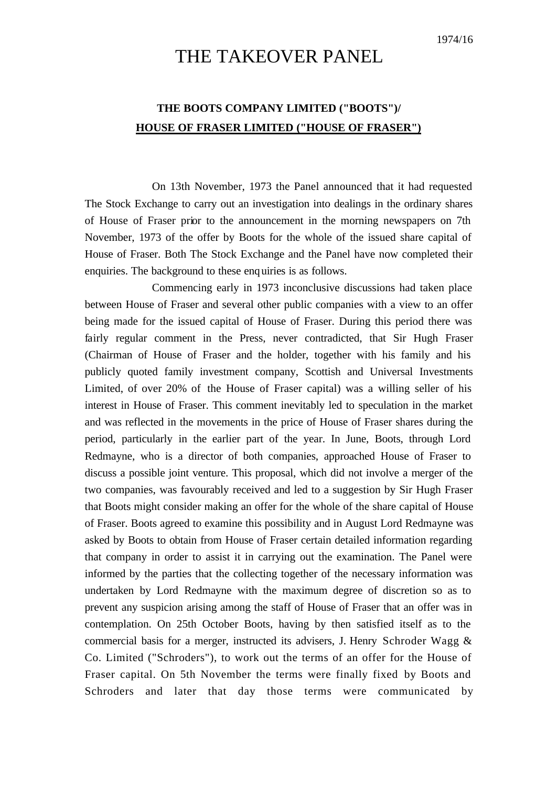## THE TAKEOVER PANEL

## **THE BOOTS COMPANY LIMITED ("BOOTS")/ HOUSE OF FRASER LIMITED ("HOUSE OF FRASER")**

On 13th November, 1973 the Panel announced that it had requested The Stock Exchange to carry out an investigation into dealings in the ordinary shares of House of Fraser prior to the announcement in the morning newspapers on 7th November, 1973 of the offer by Boots for the whole of the issued share capital of House of Fraser. Both The Stock Exchange and the Panel have now completed their enquiries. The background to these enquiries is as follows.

Commencing early in 1973 inconclusive discussions had taken place between House of Fraser and several other public companies with a view to an offer being made for the issued capital of House of Fraser. During this period there was fairly regular comment in the Press, never contradicted, that Sir Hugh Fraser (Chairman of House of Fraser and the holder, together with his family and his publicly quoted family investment company, Scottish and Universal Investments Limited, of over 20% of the House of Fraser capital) was a willing seller of his interest in House of Fraser. This comment inevitably led to speculation in the market and was reflected in the movements in the price of House of Fraser shares during the period, particularly in the earlier part of the year. In June, Boots, through Lord Redmayne, who is a director of both companies, approached House of Fraser to discuss a possible joint venture. This proposal, which did not involve a merger of the two companies, was favourably received and led to a suggestion by Sir Hugh Fraser that Boots might consider making an offer for the whole of the share capital of House of Fraser. Boots agreed to examine this possibility and in August Lord Redmayne was asked by Boots to obtain from House of Fraser certain detailed information regarding that company in order to assist it in carrying out the examination. The Panel were informed by the parties that the collecting together of the necessary information was undertaken by Lord Redmayne with the maximum degree of discretion so as to prevent any suspicion arising among the staff of House of Fraser that an offer was in contemplation. On 25th October Boots, having by then satisfied itself as to the commercial basis for a merger, instructed its advisers, J. Henry Schroder Wagg  $\&$ Co. Limited ("Schroders"), to work out the terms of an offer for the House of Fraser capital. On 5th November the terms were finally fixed by Boots and Schroders and later that day those terms were communicated by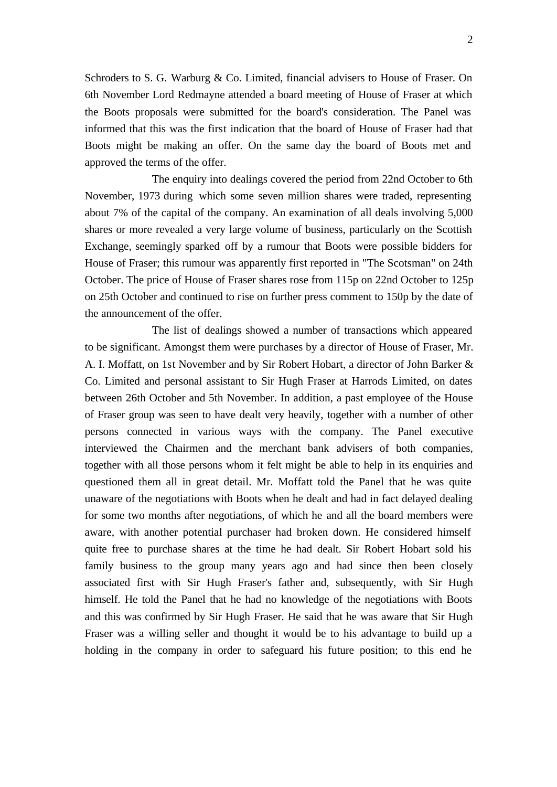Schroders to S. G. Warburg & Co. Limited, financial advisers to House of Fraser. On 6th November Lord Redmayne attended a board meeting of House of Fraser at which the Boots proposals were submitted for the board's consideration. The Panel was informed that this was the first indication that the board of House of Fraser had that Boots might be making an offer. On the same day the board of Boots met and approved the terms of the offer.

The enquiry into dealings covered the period from 22nd October to 6th November, 1973 during which some seven million shares were traded, representing about 7% of the capital of the company. An examination of all deals involving 5,000 shares or more revealed a very large volume of business, particularly on the Scottish Exchange, seemingly sparked off by a rumour that Boots were possible bidders for House of Fraser; this rumour was apparently first reported in "The Scotsman" on 24th October. The price of House of Fraser shares rose from 115p on 22nd October to 125p on 25th October and continued to rise on further press comment to 150p by the date of the announcement of the offer.

The list of dealings showed a number of transactions which appeared to be significant. Amongst them were purchases by a director of House of Fraser, Mr. A. I. Moffatt, on 1st November and by Sir Robert Hobart, a director of John Barker & Co. Limited and personal assistant to Sir Hugh Fraser at Harrods Limited, on dates between 26th October and 5th November. In addition, a past employee of the House of Fraser group was seen to have dealt very heavily, together with a number of other persons connected in various ways with the company. The Panel executive interviewed the Chairmen and the merchant bank advisers of both companies, together with all those persons whom it felt might be able to help in its enquiries and questioned them all in great detail. Mr. Moffatt told the Panel that he was quite unaware of the negotiations with Boots when he dealt and had in fact delayed dealing for some two months after negotiations, of which he and all the board members were aware, with another potential purchaser had broken down. He considered himself quite free to purchase shares at the time he had dealt. Sir Robert Hobart sold his family business to the group many years ago and had since then been closely associated first with Sir Hugh Fraser's father and, subsequently, with Sir Hugh himself. He told the Panel that he had no knowledge of the negotiations with Boots and this was confirmed by Sir Hugh Fraser. He said that he was aware that Sir Hugh Fraser was a willing seller and thought it would be to his advantage to build up a holding in the company in order to safeguard his future position; to this end he